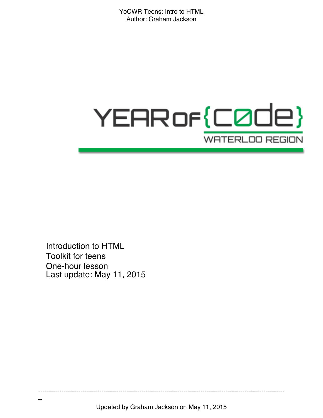# YEAR of {C0de} **WATERLOO REGION**

Introduction to HTML Toolkit for teens One-hour lesson Last update: May 11, 2015

--

Updated by Graham Jackson on May 11, 2015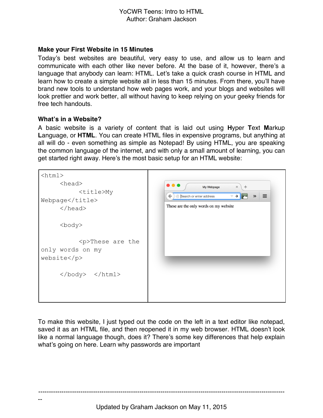#### **Make your First Website in 15 Minutes**

Today's best websites are beautiful, very easy to use, and allow us to learn and communicate with each other like never before. At the base of it, however, there's a language that anybody can learn: HTML. Let's take a quick crash course in HTML and learn how to create a simple website all in less than 15 minutes. From there, you'll have brand new tools to understand how web pages work, and your blogs and websites will look prettier and work better, all without having to keep relying on your geeky friends for free tech handouts.

#### **What's in a Website?**

--

A basic website is a variety of content that is laid out using **H**yper **T**ext **M**arkup **L**anguage, or **HTML**. You can create HTML files in expensive programs, but anything at all will do - even something as simple as Notepad! By using HTML, you are speaking the common language of the internet, and with only a small amount of learning, you can get started right away. Here's the most basic setup for an HTML website:

| $\verb thtml >$<br>$<$ head $>$<br><title>My<br/>Webpage</title><br>$\langle$ /head> | $\bullet\bullet\bullet$<br>My Webpage<br>$\! \times$<br>$\div$<br>$\equiv$<br>Search or enter address<br>$\leftarrow$<br>$\vee$ $\rightarrow$<br>$\gg$<br>These are the only words on my website |
|--------------------------------------------------------------------------------------|--------------------------------------------------------------------------------------------------------------------------------------------------------------------------------------------------|
| <body></body>                                                                        |                                                                                                                                                                                                  |
| <p>These are the<br/>only words on my<br/>website</p>                                |                                                                                                                                                                                                  |
|                                                                                      |                                                                                                                                                                                                  |

To make this website, I just typed out the code on the left in a text editor like notepad, saved it as an HTML file, and then reopened it in my web browser. HTML doesn't look like a normal language though, does it? There's some key differences that help explain what's going on here. Learn why passwords are important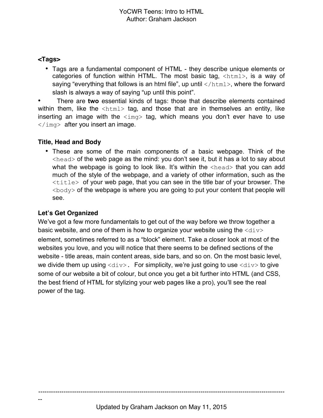#### **<Tags>**

• Tags are a fundamental component of HTML - they describe unique elements or categories of function within HTML. The most basic tag, <html>, is a way of saying "everything that follows is an html file", up until  $\langle/\text{html}\rangle$ , where the forward slash is always a way of saying "up until this point".

• There are **two** essential kinds of tags: those that describe elements contained within them, like the  $\langle$ html $>$  tag, and those that are in themselves an entity, like inserting an image with the  $\langle \text{img} \rangle$  tag, which means you don't ever have to use  $\langle \rangle$ img> after you insert an image.

### **Title, Head and Body**

• These are some of the main components of a basic webpage. Think of the  $\langle$ head $\rangle$  of the web page as the mind: you don't see it, but it has a lot to say about what the webpage is going to look like. It's within the  $\langle head \rangle$  that you can add much of the style of the webpage, and a variety of other information, such as the  $\lt t$ itle $>$  of your web page, that you can see in the title bar of your browser. The  $\langle \text{body}\rangle$  of the webpage is where you are going to put your content that people will see.

## **Let's Get Organized**

--

We've got a few more fundamentals to get out of the way before we throw together a basic website, and one of them is how to organize your website using the  $\langle \text{div} \rangle$ element, sometimes referred to as a "block" element. Take a closer look at most of the websites you love, and you will notice that there seems to be defined sections of the website - title areas, main content areas, side bars, and so on. On the most basic level, we divide them up using  $\langle \text{div} \rangle$ . For simplicity, we're just going to use  $\langle \text{div} \rangle$  to give some of our website a bit of colour, but once you get a bit further into HTML (and CSS, the best friend of HTML for stylizing your web pages like a pro), you'll see the real power of the tag.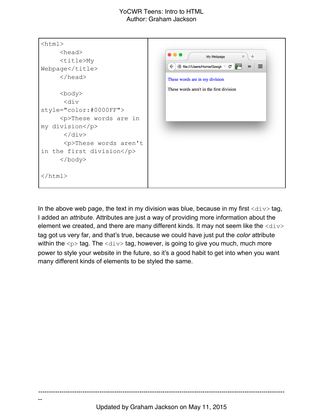

In the above web page, the text in my division was blue, because in my first  $\langle \text{div} \rangle$  tag, I added an *attribute*. Attributes are just a way of providing more information about the element we created, and there are many different kinds. It may not seem like the  $\langle \text{div} \rangle$ tag got us very far, and that's true, because we could have just put the *color* attribute within the  $\langle p \rangle$  tag. The  $\langle \text{div} \rangle$  tag, however, is going to give you much, much more power to style your website in the future, so it's a good habit to get into when you want many different kinds of elements to be styled the same.

---------------------------------------------------------------------------------------------------------------------

--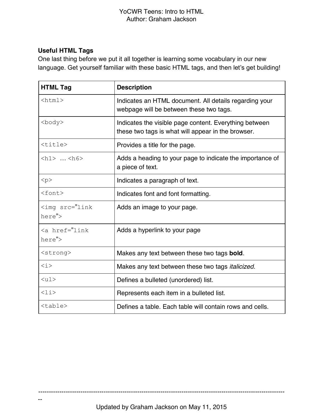# **Useful HTML Tags**

--

One last thing before we put it all together is learning some vocabulary in our new language. Get yourself familiar with these basic HTML tags, and then let's get building!

| <b>HTML Tag</b>                          | <b>Description</b>                                                                                           |
|------------------------------------------|--------------------------------------------------------------------------------------------------------------|
| $\hbox{\tt >}$                           | Indicates an HTML document. All details regarding your<br>webpage will be between these two tags.            |
| <body></body>                            | Indicates the visible page content. Everything between<br>these two tags is what will appear in the browser. |
| <title></title>                          | Provides a title for the page.                                                                               |
| $\{h1\}$ $\{h6\}$                        | Adds a heading to your page to indicate the importance of<br>a piece of text.                                |
| < p >                                    | Indicates a paragraph of text.                                                                               |
| $<$ font $>$                             | Indicates font and font formatting.                                                                          |
| <imq src="link&lt;br&gt;here"></imq>     | Adds an image to your page.                                                                                  |
| $\langle a \rangle$ href="link<br>here"> | Adds a hyperlink to your page                                                                                |
| <strong></strong>                        | Makes any text between these two tags bold.                                                                  |
| $\langle i \rangle$                      | Makes any text between these two tags <i>italicized</i> .                                                    |
| $\langle \text{ul} \rangle$              | Defines a bulleted (unordered) list.                                                                         |
| $\langle$ li $\rangle$                   | Represents each item in a bulleted list.                                                                     |
| $<$ table $>$                            | Defines a table. Each table will contain rows and cells.                                                     |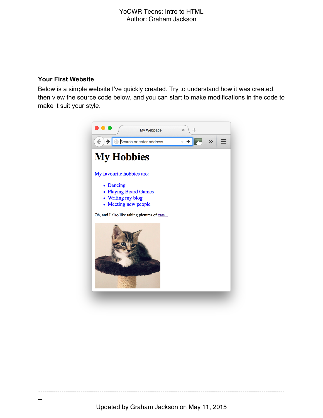#### **Your First Website**

--

Below is a simple website I've quickly created. Try to understand how it was created, then view the source code below, and you can start to make modifications in the code to make it suit your style.

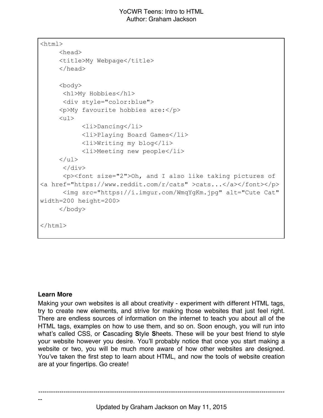```
\hbox{\tt <html>}<head>
      <title>My Webpage</title>
     </head>
     <body>
       <h1>My Hobbies</h1>
       <div style="color:blue">
      <p>My favourite hobbies are:</p>
      <ul>
             <li>Dancing</li>
             <li>Playing Board Games</li>
             <li>Writing my blog</li>
             <li>Meeting new people</li>
     \langle/ul>
      \langle div\rangle <p><font size="2">Oh, and I also like taking pictures of 
<a href="https://www.reddit.com/r/cats" >cats...</a></font></p>
       <img src="https://i.imgur.com/WmqYgKm.jpg" alt="Cute Cat" 
width=200 height=200>
     </body>
</html>
```
#### **Learn More**

--

Making your own websites is all about creativity - experiment with different HTML tags, try to create new elements, and strive for making those websites that just feel right. There are endless sources of information on the internet to teach you about all of the HTML tags, examples on how to use them, and so on. Soon enough, you will run into what's called CSS, or **C**ascading **S**tyle **S**heets. These will be your best friend to style your website however you desire. You'll probably notice that once you start making a website or two, you will be much more aware of how other websites are designed. You've taken the first step to learn about HTML, and now the tools of website creation are at your fingertips. Go create!